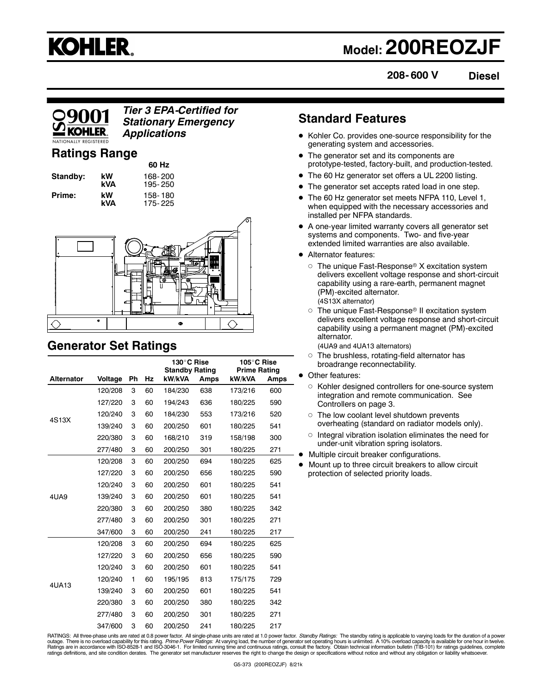

## **Model: 200REOZJF**

**208- 600 V**

**Diesel**

### *Tier 3 EPA-Certified for Stationary Emergency Applications*

### **Ratings Range**

| Standby: | kW<br>kVA |
|----------|-----------|
| Prime:   | kW        |

**60 Hz Standby: kW** 168- 200 **kVA** 195- 250 **kW** 158-180<br>**kVA** 175-225 **kVA** 175- 225



### **Generator Set Ratings**

|                   | 130°C Rise<br><b>Standby Rating</b> |    |    | 105°C Rise<br><b>Prime Rating</b> |      |         |      |
|-------------------|-------------------------------------|----|----|-----------------------------------|------|---------|------|
| <b>Alternator</b> | Voltage                             | Ph | Hz | kW/kVA                            | Amps | kW/kVA  | Amps |
|                   | 120/208                             | 3  | 60 | 184/230                           | 638  | 173/216 | 600  |
|                   | 127/220                             | 3  | 60 | 194/243                           | 636  | 180/225 | 590  |
| 4S13X             | 120/240                             | 3  | 60 | 184/230                           | 553  | 173/216 | 520  |
|                   | 139/240                             | 3  | 60 | 200/250                           | 601  | 180/225 | 541  |
|                   | 220/380                             | 3  | 60 | 168/210                           | 319  | 158/198 | 300  |
|                   | 277/480                             | 3  | 60 | 200/250                           | 301  | 180/225 | 271  |
|                   | 120/208                             | 3  | 60 | 200/250                           | 694  | 180/225 | 625  |
|                   | 127/220                             | 3  | 60 | 200/250                           | 656  | 180/225 | 590  |
|                   | 120/240                             | 3  | 60 | 200/250                           | 601  | 180/225 | 541  |
| 4UA9              | 139/240                             | 3  | 60 | 200/250                           | 601  | 180/225 | 541  |
|                   | 220/380                             | 3  | 60 | 200/250                           | 380  | 180/225 | 342  |
|                   | 277/480                             | 3  | 60 | 200/250                           | 301  | 180/225 | 271  |
|                   | 347/600                             | 3  | 60 | 200/250                           | 241  | 180/225 | 217  |
|                   | 120/208                             | 3  | 60 | 200/250                           | 694  | 180/225 | 625  |
|                   | 127/220                             | 3  | 60 | 200/250                           | 656  | 180/225 | 590  |
|                   | 120/240                             | 3  | 60 | 200/250                           | 601  | 180/225 | 541  |
| 4UA13             | 120/240                             | 1  | 60 | 195/195                           | 813  | 175/175 | 729  |
|                   | 139/240                             | 3  | 60 | 200/250                           | 601  | 180/225 | 541  |
|                   | 220/380                             | 3  | 60 | 200/250                           | 380  | 180/225 | 342  |
|                   | 277/480                             | 3  | 60 | 200/250                           | 301  | 180/225 | 271  |
|                   | 347/600                             | 3  | 60 | 200/250                           | 241  | 180/225 | 217  |

### **Standard Features**

- Kohler Co. provides one-source responsibility for the generating system and accessories.
- The generator set and its components are prototype-tested, factory-built, and production-tested.
- The 60 Hz generator set offers a UL 2200 listing.
- The generator set accepts rated load in one step.
- The 60 Hz generator set meets NFPA 110, Level 1, when equipped with the necessary accessories and installed per NFPA standards.
- A one-year limited warranty covers all generator set systems and components. Two- and five-year extended limited warranties are also available.
- Alternator features:
	- $\circ~$  The unique Fast-Response® X excitation system delivers excellent voltage response and short-circuit capability using a rare-earth, permanent magnet (PM)-excited alternator. (4S13X alternator)
	- The unique Fast-Response® II excitation system delivers excellent voltage response and short-circuit capability using a permanent magnet (PM)-excited alternator.
		- (4UA9 and 4UA13 alternators)
	- The brushless, rotating-field alternator has broadrange reconnectability.
- Other features:
	- $\circ$  Kohler designed controllers for one-source system integration and remote communication. See Controllers on page 3.
	- The low coolant level shutdown prevents overheating (standard on radiator models only).
	- $\circ$  Integral vibration isolation eliminates the need for under-unit vibration spring isolators.
	- Multiple circuit breaker configurations.
- Mount up to three circuit breakers to allow circuit protection of selected priority loads.

RATINGS: All three-phase units are rated at 0.8 power factor. All single-phase units are rated at 1.0 power factor. *Standby Ratings:* The standby rating is applicable to varying loads for the duration of a power outage. There is no overload capability for this rating. *Prime Power Ratings: A*t varying load, the number of generator set operating hours is unlimited. A 10% overload capacity is available for one hour in twelve.<br>Rating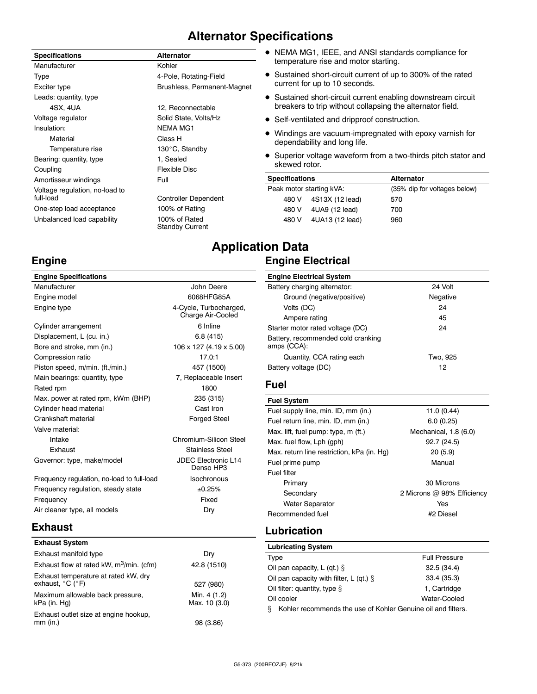### **Alternator Specifications**

| <b>Specifications</b>          | <b>Alternator</b>                       |                          | • NEMA MG1, IEEE, and $\overline{A}$ |
|--------------------------------|-----------------------------------------|--------------------------|--------------------------------------|
| Manufacturer                   | Kohler                                  |                          | temperature rise and mo              |
| Type                           | 4-Pole, Rotating-Field                  |                          | • Sustained short-circuit co         |
| Exciter type                   | Brushless, Permanent-Magnet             |                          | current for up to 10 seco            |
| Leads: quantity, type          |                                         |                          | • Sustained short-circuit cu         |
| 4SX, 4UA                       | 12, Reconnectable                       |                          | breakers to trip without c           |
| Voltage regulator              | Solid State, Volts/Hz                   |                          | • Self-ventilated and dripp          |
| Insulation:                    | <b>NEMA MG1</b>                         |                          | • Windings are vacuum-im             |
| Material                       | Class H                                 |                          | dependability and long lif           |
| Temperature rise               | 130°C, Standby                          |                          |                                      |
| Bearing: quantity, type        | 1, Sealed                               | skewed rotor.            | • Superior voltage wavefor           |
| Coupling                       | <b>Flexible Disc</b>                    |                          |                                      |
| Amortisseur windings           | Full                                    | <b>Specifications</b>    |                                      |
| Voltage regulation, no-load to |                                         | Peak motor starting kVA: |                                      |
| full-load                      | <b>Controller Dependent</b>             | 480 V                    | 4S13X (12 lead)                      |
| One-step load acceptance       | 100% of Rating                          | 480 V                    | 4UA9 (12 lead)                       |
| Unbalanced load capability     | 100% of Rated<br><b>Standby Current</b> | 480 V                    | 4UA13 (12 lead                       |
|                                |                                         |                          |                                      |

### ANSI standards compliance for tor starting.

- urrent of up to 300% of the rated nds.
- Irrent enabling downstream circuit breakt to trip without collapsing the alternator field.
- roof construction.
- pregnated with epoxy varnish for<br>fe. dependability and long life.
- rm from a two-thirds pitch stator and

| <b>Specifications</b> |                          | <b>Alternator</b>            |
|-----------------------|--------------------------|------------------------------|
|                       | Peak motor starting kVA: | (35% dip for voltages below) |
|                       | 480 V 4S13X (12 lead)    | 570                          |
| 480 V                 | 4UA9 (12 lead)           | 700                          |
| 480 V                 | 4UA13 (12 lead)          | 960                          |

### **Application Data Engine Electrical**

| <b>Engine Specifications</b>               |                            | <b>Engine Electrical System</b>            |                            |
|--------------------------------------------|----------------------------|--------------------------------------------|----------------------------|
| Manufacturer                               | John Deere                 | Battery charging alternator:               | 24 Volt                    |
| Engine model                               | 6068HFG85A                 | Ground (negative/positive)                 | Negative                   |
| Engine type                                | 4-Cycle, Turbocharged,     | Volts (DC)                                 | 24                         |
|                                            | Charge Air-Cooled          | Ampere rating                              | 45                         |
| Cylinder arrangement                       | 6 Inline                   | Starter motor rated voltage (DC)           | 24                         |
| Displacement, L (cu. in.)                  | 6.8(415)                   | Battery, recommended cold cranking         |                            |
| Bore and stroke, mm (in.)                  | 106 x 127 (4.19 x 5.00)    | amps (CCA):                                |                            |
| Compression ratio                          | 17.0:1                     | Quantity, CCA rating each                  | Two, 925                   |
| Piston speed, m/min. (ft./min.)            | 457 (1500)                 | Battery voltage (DC)                       | 12 <sup>2</sup>            |
| Main bearings: quantity, type              | 7, Replaceable Insert      |                                            |                            |
| Rated rpm                                  | 1800                       | <b>Fuel</b>                                |                            |
| Max. power at rated rpm, kWm (BHP)         | 235 (315)                  | <b>Fuel System</b>                         |                            |
| Cylinder head material                     | Cast Iron                  | Fuel supply line, min. ID, mm (in.)        | 11.0(0.44)                 |
| Crankshaft material                        | <b>Forged Steel</b>        | Fuel return line, min. ID, mm (in.)        | 6.0(0.25)                  |
| Valve material:                            |                            | Max. lift, fuel pump: type, m (ft.)        | Mechanical, 1.8 (6.0)      |
| Intake                                     | Chromium-Silicon Steel     | Max. fuel flow, Lph (gph)                  | 92.7(24.5)                 |
| Exhaust                                    | <b>Stainless Steel</b>     | Max. return line restriction, kPa (in. Hg) | 20(5.9)                    |
| Governor: type, make/model                 | <b>JDEC Electronic L14</b> | Fuel prime pump                            | Manual                     |
|                                            | Denso HP3                  | Fuel filter                                |                            |
| Frequency regulation, no-load to full-load | <b>Isochronous</b>         | Primary                                    | 30 Microns                 |
| Frequency regulation, steady state         | ±0.25%                     | Secondary                                  | 2 Microns @ 98% Efficiency |
| Frequency                                  | Fixed                      | <b>Water Separator</b>                     | Yes                        |

### **Exhaust**

**Engine**

| <b>Exhaust System</b>                                                         |                               |
|-------------------------------------------------------------------------------|-------------------------------|
| Exhaust manifold type                                                         | Dry                           |
| Exhaust flow at rated kW, $m^3$ /min. (cfm)                                   | 42.8 (1510)                   |
| Exhaust temperature at rated kW, dry<br>exhaust, $^{\circ}$ C ( $^{\circ}$ F) | 527 (980)                     |
| Maximum allowable back pressure,<br>kPa (in. Hg)                              | Min. 4 (1.2)<br>Max. 10 (3.0) |
| Exhaust outlet size at engine hookup,<br>$mm$ (in.)                           | 98 (3.86)                     |

Air cleaner type, all models **Dry** 

### **Lubrication**

| <b>Lubricating System</b>                                          |                      |
|--------------------------------------------------------------------|----------------------|
| Type                                                               | <b>Full Pressure</b> |
| Oil pan capacity, $L$ (qt.) $\S$                                   | 32.5(34.4)           |
| Oil pan capacity with filter, L (qt.) $\S$                         | 33.4 (35.3)          |
| Oil filter: quantity, type $\S$                                    | 1. Cartridge         |
| Oil cooler                                                         | Water-Cooled         |
| S.<br>Kohler recommends the use of Kohler Genuine oil and filters. |                      |

Recommended fuel #2 Diesel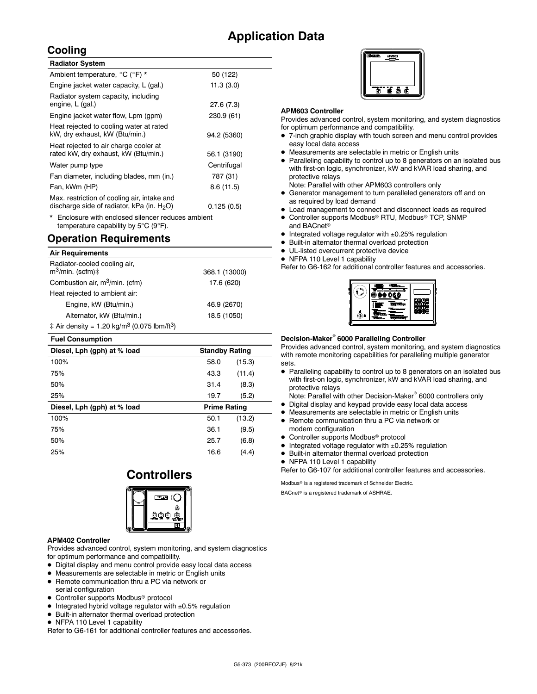### **Application Data**

### **Cooling**

| <b>Radiator System</b>                                                                       |             |
|----------------------------------------------------------------------------------------------|-------------|
| Ambient temperature, °C (°F) *                                                               | 50 (122)    |
| Engine jacket water capacity, L (gal.)                                                       | 11.3(3.0)   |
| Radiator system capacity, including<br>engine, L (gal.)                                      | 27.6(7.3)   |
| Engine jacket water flow, Lpm (gpm)                                                          | 230.9 (61)  |
| Heat rejected to cooling water at rated<br>kW, dry exhaust, kW (Btu/min.)                    | 94.2 (5360) |
| Heat rejected to air charge cooler at<br>rated kW, dry exhaust, kW (Btu/min.)                | 56.1 (3190) |
| Water pump type                                                                              | Centrifugal |
| Fan diameter, including blades, mm (in.)                                                     | 787 (31)    |
| Fan, kWm (HP)                                                                                | 8.6(11.5)   |
| Max. restriction of cooling air, intake and<br>discharge side of radiator, kPa (in. $H_2O$ ) | 0.125(0.5)  |

Enclosure with enclosed silencer reduces ambient temperature capability by 5°C (9°F).

### **Operation Requirements**

| <b>Air Requirements</b>                                                      |               |
|------------------------------------------------------------------------------|---------------|
| Radiator-cooled cooling air,<br>$m^3$ /min. (scfm) $\ddagger$                | 368.1 (13000) |
| Combustion air, m <sup>3</sup> /min. (cfm)                                   | 17.6 (620)    |
| Heat rejected to ambient air:                                                |               |
| Engine, kW (Btu/min.)                                                        | 46.9 (2670)   |
| Alternator, kW (Btu/min.)                                                    | 18.5 (1050)   |
| $\ddagger$ Air density = 1.20 kg/m <sup>3</sup> (0.075 lbm/ft <sup>3</sup> ) |               |

| <b>Fuel Consumption</b>     |                       |        |  |
|-----------------------------|-----------------------|--------|--|
| Diesel, Lph (gph) at % load | <b>Standby Rating</b> |        |  |
| 100%                        | 58.0                  | (15.3) |  |
| 75%                         | 43.3                  | (11.4) |  |
| 50%                         | 31.4                  | (8.3)  |  |
| 25%                         | 19.7                  | (5.2)  |  |
| Diesel, Lph (gph) at % load | <b>Prime Rating</b>   |        |  |
| 100%                        | 50.1                  | (13.2) |  |
| 75%                         | 36.1                  | (9.5)  |  |
| 50%                         | 25.7                  | (6.8)  |  |
| 25%                         | 16.6                  | (4.4)  |  |

### **Controllers**



### **APM402 Controller**

Provides advanced control, system monitoring, and system diagnostics for optimum performance and compatibility.

- Digital display and menu control provide easy local data access
- Measurements are selectable in metric or English units
- Remote communication thru a PC via network or serial configuration
- Controller supports Modbus<sup>®</sup> protocol
- $\bullet$  Integrated hybrid voltage regulator with  $\pm 0.5\%$  regulation
- Built-in alternator thermal overload protection
- NFPA 110 Level 1 capability
- Refer to G6-161 for additional controller features and accessories.



### **APM603 Controller**

Provides advanced control, system monitoring, and system diagnostics for optimum performance and compatibility.

- 7-inch graphic display with touch screen and menu control provides easy local data access
- Measurements are selectable in metric or English units
- Paralleling capability to control up to 8 generators on an isolated bus with first-on logic, synchronizer, kW and kVAR load sharing, and protective relays
- Note: Parallel with other APM603 controllers only
- Generator management to turn paralleled generators off and on as required by load demand
- Load management to connect and disconnect loads as required
- Controller supports Modbus<sup>®</sup> RTU, Modbus® TCP, SNMP and BACnet
- $\bullet$  Integrated voltage regulator with  $\pm 0.25\%$  regulation
- Built-in alternator thermal overload protection
- UL-listed overcurrent protective device
- NFPA 110 Level 1 capability

Refer to G6-162 for additional controller features and accessories.

### **Decision-Maker 6000 Paralleling Controller**

Provides advanced control, system monitoring, and system diagnostics with remote monitoring capabilities for paralleling multiple generator sets.

 Paralleling capability to control up to 8 generators on an isolated bus with first-on logic, synchronizer, kW and kVAR load sharing, and protective relays

Note: Parallel with other Decision-Maker<sup>®</sup> 6000 controllers only

- Digital display and keypad provide easy local data access
- Measurements are selectable in metric or English units
- Remote communication thru a PC via network or modem configuration
- Controller supports Modbus<sup>®</sup> protocol
- $\bullet$  Integrated voltage regulator with  $\pm 0.25\%$  regulation
- Built-in alternator thermal overload protection
- NFPA 110 Level 1 capability

Refer to G6-107 for additional controller features and accessories.

Modbus<sup>®</sup> is a registered trademark of Schneider Electric.

BACnet<sup>®</sup> is a registered trademark of ASHRAE.